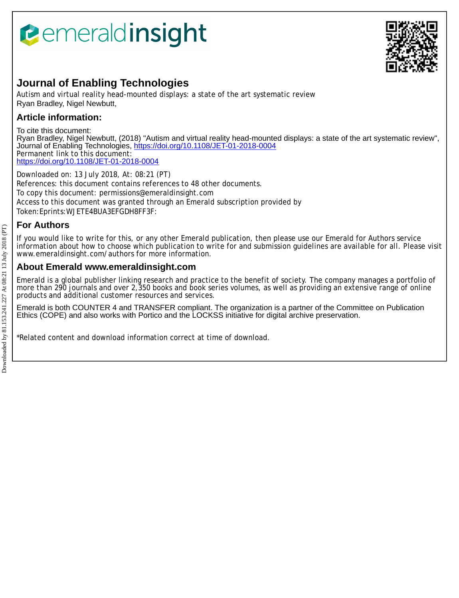# emeraldinsight



# **Journal of Enabling Technologies**

Autism and virtual reality head-mounted displays: a state of the art systematic review Ryan Bradley, Nigel Newbutt,

# **Article information:**

To cite this document:

Ryan Bradley, Nigel Newbutt, (2018) "Autism and virtual reality head-mounted displays: a state of the art systematic review", Journal of Enabling Technologies, <https://doi.org/10.1108/JET-01-2018-0004> Permanent link to this document: <https://doi.org/10.1108/JET-01-2018-0004>

Downloaded on: 13 July 2018, At: 08:21 (PT) References: this document contains references to 48 other documents. To copy this document: permissions@emeraldinsight.com Access to this document was granted through an Emerald subscription provided by Token:Eprints:WJETE4BUA3EFGDH8FF3F:

# **For Authors**

If you would like to write for this, or any other Emerald publication, then please use our Emerald for Authors service information about how to choose which publication to write for and submission guidelines are available for all. Please visit www.emeraldinsight.com/authors for more information.

## **About Emerald www.emeraldinsight.com**

Emerald is a global publisher linking research and practice to the benefit of society. The company manages a portfolio of more than 290 journals and over 2,350 books and book series volumes, as well as providing an extensive range of online products and additional customer resources and services.

Emerald is both COUNTER 4 and TRANSFER compliant. The organization is a partner of the Committee on Publication Ethics (COPE) and also works with Portico and the LOCKSS initiative for digital archive preservation.

\*Related content and download information correct at time of download.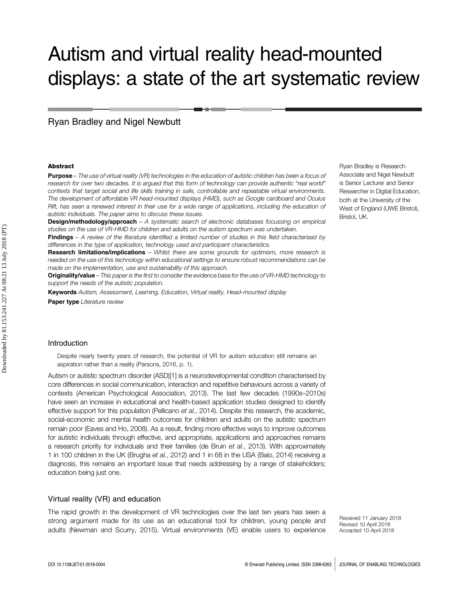# Autism and virtual reality head-mounted displays: a state of the art systematic review

Ryan Bradley and Nigel Newbutt

#### **Abstract**

Purpose – The use of virtual reality (VR) technologies in the education of autistic children has been a focus of research for over two decades. It is argued that this form of technology can provide authentic "real world" contexts that target social and life skills training in safe, controllable and repeatable virtual environments. The development of affordable VR head-mounted displays (HMD), such as Google cardboard and Oculus Rift, has seen a renewed interest in their use for a wide range of applications, including the education of autistic individuals. The paper aims to discuss these issues.

Design/methodology/approach - A systematic search of electronic databases focussing on empirical studies on the use of VR-HMD for children and adults on the autism spectrum was undertaken.

Findings – A review of the literature identified a limited number of studies in this field characterised by differences in the type of application, technology used and participant characteristics.

**Research limitations/implications** – Whilst there are some grounds for optimism, more research is needed on the use of this technology within educational settings to ensure robust recommendations can be made on the implementation, use and sustainability of this approach.

Originality/value – This paper is the first to consider the evidence base for the use of VR-HMD technology to support the needs of the autistic population.

**Keywords** Autism, Assessment, Learning, Education, Virtual reality, Head-mounted display Paper type Literature review

Ryan Bradley is Research Associate and Nigel Newbutt is Senior Lecturer and Senior Researcher in Digital Education, both at the University of the West of England (UWE Bristol), Bristol, UK.

#### Introduction

Despite nearly twenty years of research, the potential of VR for autism education still remains an aspiration rather than a reality (Parsons, 2016, p. 1).

Autism or autistic spectrum disorder (ASD)[1] is a neurodevelopmental condition characterised by core differences in social communication, interaction and repetitive behaviours across a variety of contexts (American Psychological Association, 2013). The last few decades (1990s–2010s) have seen an increase in educational and health-based application studies designed to identify effective support for this population (Pellicano et al., 2014). Despite this research, the academic, social-economic and mental health outcomes for children and adults on the autistic spectrum remain poor (Eaves and Ho, 2008). As a result, finding more effective ways to improve outcomes for autistic individuals through effective, and appropriate, applications and approaches remains a research priority for individuals and their families (de Bruin et al., 2013). With approximately 1 in 100 children in the UK (Brugha et al., 2012) and 1 in 68 in the USA (Baio, 2014) receiving a diagnosis, this remains an important issue that needs addressing by a range of stakeholders; education being just one.

#### Virtual reality (VR) and education

The rapid growth in the development of VR technologies over the last ten years has seen a strong argument made for its use as an educational tool for children, young people and adults (Newman and Scurry, 2015). Virtual environments (VE) enable users to experience

Received 11 January 2018 Revised 10 April 2018 Accepted 10 April 2018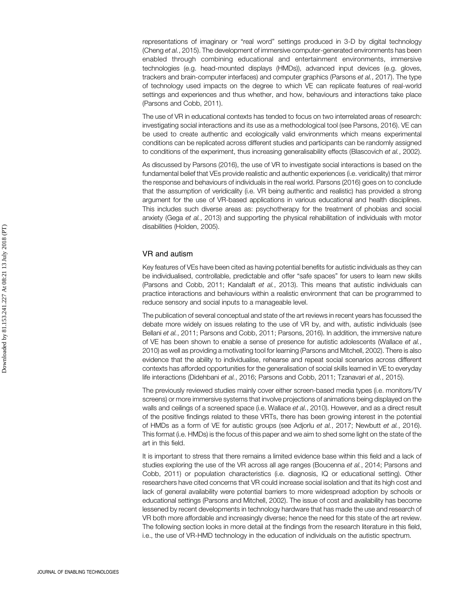representations of imaginary or "real word" settings produced in 3-D by digital technology (Cheng et al., 2015). The development of immersive computer-generated environments has been enabled through combining educational and entertainment environments, immersive technologies (e.g. head-mounted displays (HMDs)), advanced input devices (e.g. gloves, trackers and brain-computer interfaces) and computer graphics (Parsons et al., 2017). The type of technology used impacts on the degree to which VE can replicate features of real-world settings and experiences and thus whether, and how, behaviours and interactions take place (Parsons and Cobb, 2011).

The use of VR in educational contexts has tended to focus on two interrelated areas of research: investigating social interactions and its use as a methodological tool (see Parsons, 2016). VE can be used to create authentic and ecologically valid environments which means experimental conditions can be replicated across different studies and participants can be randomly assigned to conditions of the experiment, thus increasing generalisability effects (Blascovich et al., 2002).

As discussed by Parsons (2016), the use of VR to investigate social interactions is based on the fundamental belief that VEs provide realistic and authentic experiences (i.e. veridicality) that mirror the response and behaviours of individuals in the real world. Parsons (2016) goes on to conclude that the assumption of veridicality (i.e. VR being authentic and realistic) has provided a strong argument for the use of VR-based applications in various educational and health disciplines. This includes such diverse areas as: psychotherapy for the treatment of phobias and social anxiety (Gega et al., 2013) and supporting the physical rehabilitation of individuals with motor disabilities (Holden, 2005).

#### VR and autism

Key features of VEs have been cited as having potential benefits for autistic individuals as they can be individualised, controllable, predictable and offer "safe spaces" for users to learn new skills (Parsons and Cobb, 2011; Kandalaft et al., 2013). This means that autistic individuals can practice interactions and behaviours within a realistic environment that can be programmed to reduce sensory and social inputs to a manageable level.

The publication of several conceptual and state of the art reviews in recent years has focussed the debate more widely on issues relating to the use of VR by, and with, autistic individuals (see Bellani et al., 2011; Parsons and Cobb, 2011; Parsons, 2016). In addition, the immersive nature of VE has been shown to enable a sense of presence for autistic adolescents (Wallace et al., 2010) as well as providing a motivating tool for learning (Parsons and Mitchell, 2002). There is also evidence that the ability to individualise, rehearse and repeat social scenarios across different contexts has afforded opportunities for the generalisation of social skills learned in VE to everyday life interactions (Didehbani et al., 2016; Parsons and Cobb, 2011; Tzanavari et al., 2015).

The previously reviewed studies mainly cover either screen-based media types (i.e. monitors/TV screens) or more immersive systems that involve projections of animations being displayed on the walls and ceilings of a screened space (i.e. Wallace et al., 2010). However, and as a direct result of the positive findings related to these VRTs, there has been growing interest in the potential of HMDs as a form of VE for autistic groups (see Adjorlu et al., 2017; Newbutt et al., 2016). This format (i.e. HMDs) is the focus of this paper and we aim to shed some light on the state of the art in this field.

It is important to stress that there remains a limited evidence base within this field and a lack of studies exploring the use of the VR across all age ranges (Boucenna et al., 2014; Parsons and Cobb, 2011) or population characteristics (i.e. diagnosis, IQ or educational setting). Other researchers have cited concerns that VR could increase social isolation and that its high cost and lack of general availability were potential barriers to more widespread adoption by schools or educational settings (Parsons and Mitchell, 2002). The issue of cost and availability has become lessened by recent developments in technology hardware that has made the use and research of VR both more affordable and increasingly diverse; hence the need for this state of the art review. The following section looks in more detail at the findings from the research literature in this field, i.e., the use of VR-HMD technology in the education of individuals on the autistic spectrum.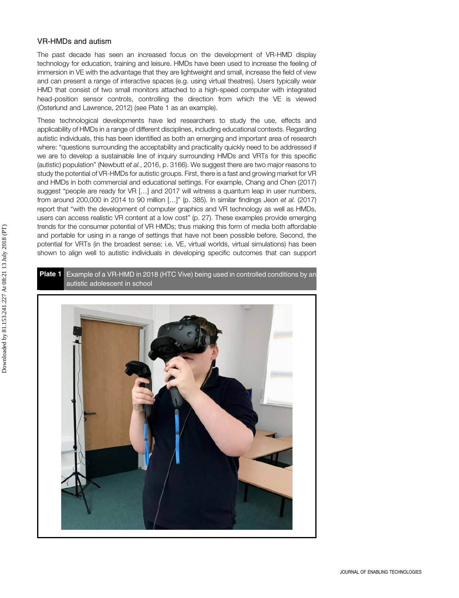#### VR-HMDs and autism

The past decade has seen an increased focus on the development of VR-HMD display technology for education, training and leisure. HMDs have been used to increase the feeling of immersion in VE with the advantage that they are lightweight and small, increase the field of view and can present a range of interactive spaces (e.g. using virtual theatres). Users typically wear HMD that consist of two small monitors attached to a high-speed computer with integrated head-position sensor controls, controlling the direction from which the VE is viewed (Osterlund and Lawrence, 2012) (see Plate 1 as an example).

These technological developments have led researchers to study the use, effects and applicability of HMDs in a range of different disciplines, including educational contexts. Regarding autistic individuals, this has been identified as both an emerging and important area of research where: "questions surrounding the acceptability and practicality quickly need to be addressed if we are to develop a sustainable line of inquiry surrounding HMDs and VRTs for this specific (autistic) population" (Newbutt et al., 2016, p. 3166). We suggest there are two major reasons to study the potential of VR-HMDs for autistic groups. First, there is a fast and growing market for VR and HMDs in both commercial and educational settings. For example, Chang and Chen (2017) suggest "people are ready for VR […] and 2017 will witness a quantum leap in user numbers, from around 200,000 in 2014 to 90 million […]" (p. 385). In similar findings Jeon et al. (2017) report that "with the development of computer graphics and VR technology as well as HMDs, users can access realistic VR content at a low cost" (p. 27). These examples provide emerging trends for the consumer potential of VR HMDs; thus making this form of media both affordable and portable for using in a range of settings that have not been possible before. Second, the potential for VRTs (in the broadest sense; i.e. VE, virtual worlds, virtual simulations) has been shown to align well to autistic individuals in developing specific outcomes that can support

Plate 1 Example of a VR-HMD in 2018 (HTC Vive) being used in controlled conditions by an autistic adolescent in school

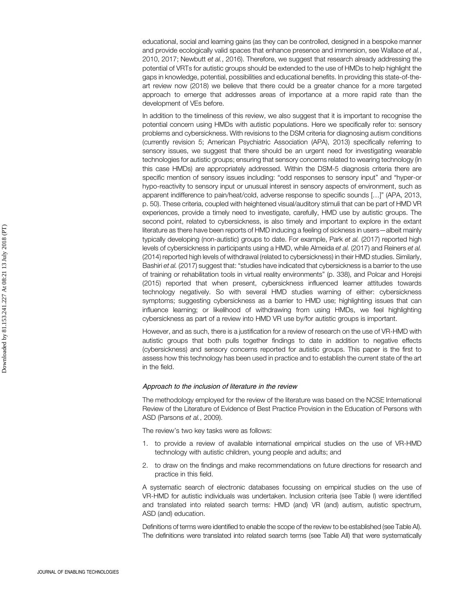educational, social and learning gains (as they can be controlled, designed in a bespoke manner and provide ecologically valid spaces that enhance presence and immersion, see Wallace et al., 2010, 2017; Newbutt et al., 2016). Therefore, we suggest that research already addressing the potential of VRTs for autistic groups should be extended to the use of HMDs to help highlight the gaps in knowledge, potential, possibilities and educational benefits. In providing this state-of-theart review now (2018) we believe that there could be a greater chance for a more targeted approach to emerge that addresses areas of importance at a more rapid rate than the development of VEs before.

In addition to the timeliness of this review, we also suggest that it is important to recognise the potential concern using HMDs with autistic populations. Here we specifically refer to: sensory problems and cybersickness. With revisions to the DSM criteria for diagnosing autism conditions (currently revision 5; American Psychiatric Association (APA), 2013) specifically referring to sensory issues, we suggest that there should be an urgent need for investigating wearable technologies for autistic groups; ensuring that sensory concerns related to wearing technology (in this case HMDs) are appropriately addressed. Within the DSM-5 diagnosis criteria there are specific mention of sensory issues including: "odd responses to sensory input" and "hyper-or hypo-reactivity to sensory input or unusual interest in sensory aspects of environment, such as apparent indifference to pain/heat/cold, adverse response to specific sounds […]" (APA, 2013, p. 50). These criteria, coupled with heightened visual/auditory stimuli that can be part of HMD VR experiences, provide a timely need to investigate, carefully, HMD use by autistic groups. The second point, related to cybersickness, is also timely and important to explore in the extant literature as there have been reports of HMD inducing a feeling of sickness in users—albeit mainly typically developing (non-autistic) groups to date. For example, Park et al. (2017) reported high levels of cybersickness in participants using a HMD, while Almeida et al. (2017) and Reiners et al. (2014) reported high levels of withdrawal (related to cybersickness) in their HMD studies. Similarly, Bashiri et al. (2017) suggest that: "studies have indicated that cybersickness is a barrier to the use of training or rehabilitation tools in virtual reality environments" (p. 338), and Polcar and Horejsi (2015) reported that when present, cybersickness influenced learner attitudes towards technology negatively. So with several HMD studies warning of either: cybersickness symptoms; suggesting cybersickness as a barrier to HMD use; highlighting issues that can influence learning; or likelihood of withdrawing from using HMDs, we feel highlighting cybersickness as part of a review into HMD VR use by/for autistic groups is important.

However, and as such, there is a justification for a review of research on the use of VR-HMD with autistic groups that both pulls together findings to date in addition to negative effects (cybersickness) and sensory concerns reported for autistic groups. This paper is the first to assess how this technology has been used in practice and to establish the current state of the art in the field.

#### Approach to the inclusion of literature in the review

The methodology employed for the review of the literature was based on the NCSE International Review of the Literature of Evidence of Best Practice Provision in the Education of Persons with ASD (Parsons et al., 2009).

The review's two key tasks were as follows:

- 1. to provide a review of available international empirical studies on the use of VR-HMD technology with autistic children, young people and adults; and
- 2. to draw on the findings and make recommendations on future directions for research and practice in this field.

A systematic search of electronic databases focussing on empirical studies on the use of VR-HMD for autistic individuals was undertaken. Inclusion criteria (see Table I) were identified and translated into related search terms: HMD (and) VR (and) autism, autistic spectrum, ASD (and) education.

Definitions of terms were identified to enable the scope of the review to be established (see Table AI). The definitions were translated into related search terms (see Table AII) that were systematically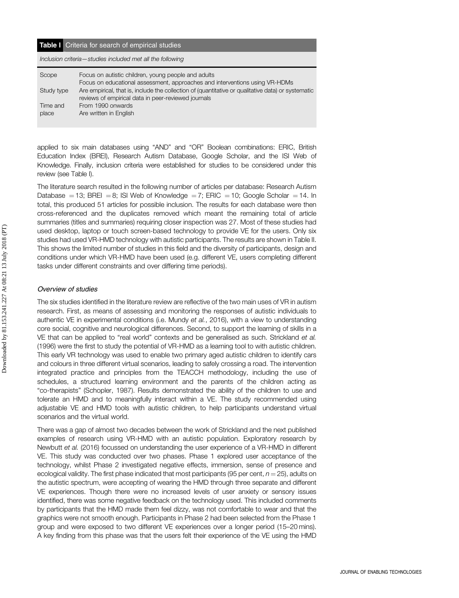#### Table I Criteria for search of empirical studies

Inclusion criteria—studies included met all the following

| Scope      | Focus on autistic children, young people and adults                                                |
|------------|----------------------------------------------------------------------------------------------------|
|            | Focus on educational assessment, approaches and interventions using VR-HDMs                        |
| Study type | Are empirical, that is, include the collection of (quantitative or qualitative data) or systematic |
|            | reviews of empirical data in peer-reviewed journals                                                |
| Time and   | From 1990 onwards                                                                                  |
| place      | Are written in English                                                                             |
|            |                                                                                                    |

applied to six main databases using "AND" and "OR" Boolean combinations: ERIC, British Education Index (BREI), Research Autism Database, Google Scholar, and the ISI Web of Knowledge. Finally, inclusion criteria were established for studies to be considered under this review (see Table I).

The literature search resulted in the following number of articles per database: Research Autism Database  $=$  13; BREI  $=$  8; ISI Web of Knowledge  $=$  7; ERIC  $=$  10; Google Scholar  $=$  14. In total, this produced 51 articles for possible inclusion. The results for each database were then cross-referenced and the duplicates removed which meant the remaining total of article summaries (titles and summaries) requiring closer inspection was 27. Most of these studies had used desktop, laptop or touch screen-based technology to provide VE for the users. Only six studies had used VR-HMD technology with autistic participants. The results are shown in Table II. This shows the limited number of studies in this field and the diversity of participants, design and conditions under which VR-HMD have been used (e.g. different VE, users completing different tasks under different constraints and over differing time periods).

#### Overview of studies

The six studies identified in the literature review are reflective of the two main uses of VR in autism research. First, as means of assessing and monitoring the responses of autistic individuals to authentic VE in experimental conditions (i.e. Mundy et al., 2016), with a view to understanding core social, cognitive and neurological differences. Second, to support the learning of skills in a VE that can be applied to "real world" contexts and be generalised as such. Strickland et al. (1996) were the first to study the potential of VR-HMD as a learning tool to with autistic children. This early VR technology was used to enable two primary aged autistic children to identify cars and colours in three different virtual scenarios, leading to safely crossing a road. The intervention integrated practice and principles from the TEACCH methodology, including the use of schedules, a structured learning environment and the parents of the children acting as "co-therapists" (Schopler, 1987). Results demonstrated the ability of the children to use and tolerate an HMD and to meaningfully interact within a VE. The study recommended using adjustable VE and HMD tools with autistic children, to help participants understand virtual scenarios and the virtual world.

There was a gap of almost two decades between the work of Strickland and the next published examples of research using VR-HMD with an autistic population. Exploratory research by Newbutt et al. (2016) focussed on understanding the user experience of a VR-HMD in different VE. This study was conducted over two phases. Phase 1 explored user acceptance of the technology, whilst Phase 2 investigated negative effects, immersion, sense of presence and ecological validity. The first phase indicated that most participants (95 per cent,  $n = 25$ ), adults on the autistic spectrum, were accepting of wearing the HMD through three separate and different VE experiences. Though there were no increased levels of user anxiety or sensory issues identified, there was some negative feedback on the technology used. This included comments by participants that the HMD made them feel dizzy, was not comfortable to wear and that the graphics were not smooth enough. Participants in Phase 2 had been selected from the Phase 1 group and were exposed to two different VE experiences over a longer period (15–20 mins). A key finding from this phase was that the users felt their experience of the VE using the HMD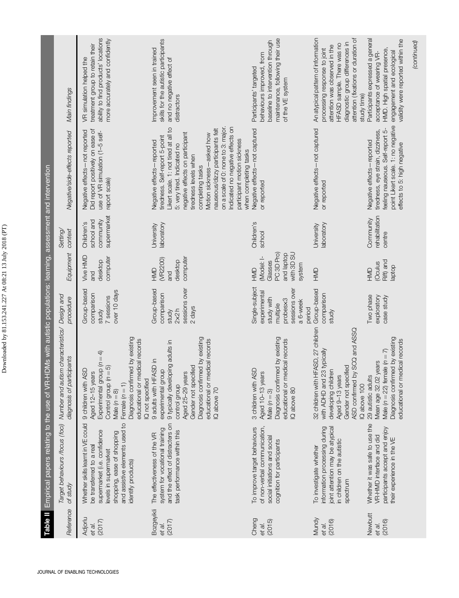| Table II   |                                                                                                                                                                                                              | Empirical papers relating to the use of VR-HDMs with autistic populations: learning, assessment and intervention                                                                                                                    |                                                                                                             |                                                                                  |                                                      |                                                                                                                                                                                                                                                                                                                                                                                                                       |                                                                                                                                                                                                                            |
|------------|--------------------------------------------------------------------------------------------------------------------------------------------------------------------------------------------------------------|-------------------------------------------------------------------------------------------------------------------------------------------------------------------------------------------------------------------------------------|-------------------------------------------------------------------------------------------------------------|----------------------------------------------------------------------------------|------------------------------------------------------|-----------------------------------------------------------------------------------------------------------------------------------------------------------------------------------------------------------------------------------------------------------------------------------------------------------------------------------------------------------------------------------------------------------------------|----------------------------------------------------------------------------------------------------------------------------------------------------------------------------------------------------------------------------|
| Reference  | of study                                                                                                                                                                                                     | Target behaviours /focus (foc) Number and autism characteristics/ Design and<br>diagnosis of participants                                                                                                                           | procedure                                                                                                   | Equipment                                                                        | Setting/<br>context                                  | Negative/side-effects reported                                                                                                                                                                                                                                                                                                                                                                                        | Main findings                                                                                                                                                                                                              |
|            | and assistive elements used to<br>Whether skills learnt in VE could<br>supermarket (i.e. confidence<br>shopping, ease of shopping<br>be transferred to a real<br>levels in supermarket<br>identify products) | Diagnosis confirmed by existing<br>educational or medical records<br>Experimental group $(n = 4)$<br>$(n = 5)$<br>9 children with ASD<br>Aged 12-15 years<br>Q not specified<br>Control group<br>Female $(n = 1)$<br>Male $(n = 8)$ | Group-based<br>over 10 days<br>comparison<br>7 sessions<br>study                                            | Vive HMD<br>computer<br>desktop<br>pue                                           | supermarket<br>school and<br>community<br>Children's | Did report positively on ease of<br>Negative effects-not reported<br>use of VR simulation (1-5 self-<br>report scale)                                                                                                                                                                                                                                                                                                 | ability to find products' locations<br>more accurately and confidently<br>treatment group to retain their<br>VR simulation helped the                                                                                      |
| Bozgeyikli | and the effect of distracters on<br>system for vocational training<br>task performance within this<br>The effectiveness of the VR                                                                            | Diagnosis confirmed by existing<br>educational or medical records<br>9 typically developing adults in<br>9 adults with HFASD in<br>Gender not specified<br>experimental group<br>Aged 25-29 years<br>control group<br>Q above 70    | sessions over<br>Group-based<br>comparison<br>2 days<br>2x2h<br>study                                       | computer<br>(VR2200)<br>desktop<br>OMH<br>and                                    | laboratory<br>University                             | on a scale of 0: none to 3: major.<br>Indicated no negative effects on<br>Likert scale. 1: not tired at all to<br>nauseous/dizzy participants felt<br>negative effects on participant<br>Motion sickness-asked how<br>tiredness. Self-report 5-point<br>participant motion sickness<br>Negative effects-reported<br>5: very tired. Indicated no<br>when completing tasks<br>tiredness levels when<br>completing tasks | skills for the autistic participants<br>Improvement seen in trained<br>and no negative effect of<br>distractors                                                                                                            |
| Cheng      | of non-verbal communication,<br>To improve target behaviours<br>social initiations and social<br>cognition for participants                                                                                  | Diagnosis confirmed by existing<br>educational or medical records<br>3 children with ASD<br>Aged 10-13 years<br>Q above 80<br>Male $(r = 3)$                                                                                        | Single-subject<br>sessions over<br>experimental<br>study with<br>probesx3<br>a 6-week<br>multiple<br>period | with 3D SU<br>PC 3D Pro)<br>and laptop<br>(Model: I-<br>Glasses<br>system<br>HMD | Children's<br>school                                 | Negative effects-not captured<br>or reported                                                                                                                                                                                                                                                                                                                                                                          | maintenance, following their use<br>baseline to intervention through<br>behaviours improved, from<br>Participants' targeted<br>of the VE system                                                                            |
| Mundy      | information processing during<br>joint attention may be atypical<br>in children on the autistic<br>To investigate whether<br>spectrum                                                                        | 32 children with HFASD, 27 children<br>ASD confirmed by SCQ and ASSQ<br>with ADHD and 23 typically<br>Gender not specified<br>developing children<br>Aged 9-13 years<br>IQ above 100                                                | Group-based<br>comparison<br>study                                                                          | HMD                                                                              | aboratory<br>University                              | Negative effects-not captured<br>or reported                                                                                                                                                                                                                                                                                                                                                                          | An atypical pattern of information<br>attention (fixations or duration of<br>diagnostic group differences in<br>HFASD sample. There was no<br>attention was observed in the<br>processing response to joint<br>study time) |
| Newbutt    | Whether it was safe to use the<br>participants accept and enjoy<br>VR-HMD interface and did<br>their experience in the VE                                                                                    | Diagnosis confirmed by existing<br>medical records<br>Male ( $n = 22$ ) female ( $n = 7$ )<br>Mean age 32.02 years<br>29 autistic adults<br>a lanoitsoube                                                                           | Two phase<br>exploratory<br>case study                                                                      | Rift) and<br>(Oculus<br>laptop<br>HMD                                            | rehabilitation<br>Community<br>centre                | point Likert scale. 1: no negative<br>feeling nauseous. Self-report 5-<br>tiredness, eye strain, dizziness,<br>Negative effects-reported<br>effects to 5: high negative                                                                                                                                                                                                                                               | Participants expressed a general<br>validity were reported within the<br>HMD. High spatial presence<br>engagement and ecological<br>acceptance of wearing VR-                                                              |
|            |                                                                                                                                                                                                              |                                                                                                                                                                                                                                     |                                                                                                             |                                                                                  |                                                      |                                                                                                                                                                                                                                                                                                                                                                                                                       | (continued)                                                                                                                                                                                                                |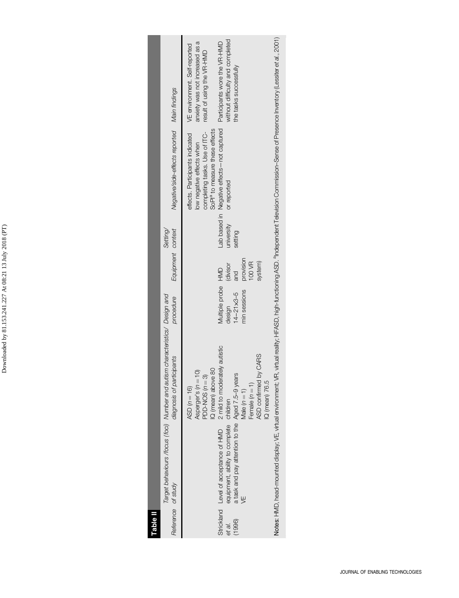Downloaded by 81.153.241.227 At 08:21 13 July 2018 (PT) Downloaded by 81.153.241.227 At 08:21 13 July 2018 (PT)

| <b>Table II</b>    |                                                                                                                             |                                                                                                                                                                                                                                  |                                                                        |                                                   |                       |                                                                                                                                                                                                                                        |                                                                                                                                                            |
|--------------------|-----------------------------------------------------------------------------------------------------------------------------|----------------------------------------------------------------------------------------------------------------------------------------------------------------------------------------------------------------------------------|------------------------------------------------------------------------|---------------------------------------------------|-----------------------|----------------------------------------------------------------------------------------------------------------------------------------------------------------------------------------------------------------------------------------|------------------------------------------------------------------------------------------------------------------------------------------------------------|
| Reference of study |                                                                                                                             | Target behaviours /focus (foci) Number and autism characteristics/ Design and<br>diagnosis of participants                                                                                                                       | procedure                                                              | Equipment context                                 | Setting/              | Negative/side-effects reported Main findings                                                                                                                                                                                           |                                                                                                                                                            |
| (1996)<br>et al.   | a task and pay attention to the Aged 7.5-9 years<br>equipment, ability to complete<br>Strickland Level of acceptance of HMD | 2 mild to moderately autistic<br>ASD confirmed by CARS<br>IQ (mean) above 80<br>$\overline{10}$<br>PDD-NOS $(n=3)$<br>Asperger's $(n = 7)$<br>IQ (mean) 76.5<br>Female $(n = 1)$<br>ASD $(n = 16)$<br>Male $(n = 1)$<br>children | Multiple probe HMD<br>min sessions<br>$14 - 21 \times 3 - 5$<br>design | provision<br>100 VR<br>system)<br>(divisor<br>and | university<br>setting | effects. Participants indicated VE environment. Self-reported<br>Lab based in Negative effects-not captured<br>completing tasks. Use of ITC-<br>SoPI <sup>ª</sup> to measure these effects<br>low negative effects when<br>or reported | without difficulty and completed<br>anxiety was not increased as a<br>Participants wore the VR-HMD<br>result of using the VR-HMD<br>the tasks successfully |
|                    |                                                                                                                             | Notes: HMD, head-mounted display, VE, virtual environment; VR, virtual reality, HFASD, high-functioning ASD. <sup>a</sup> ndependent Television Commission-Sense of Presence Inventory (Lessiter <i>et al., 2001)</i>            |                                                                        |                                                   |                       |                                                                                                                                                                                                                                        |                                                                                                                                                            |

Notes: HMD, head-mounted display; VE, virtual environment; VR, virtual reality; HFASD, high-functioning ASD. <sup>a</sup>Independent Television–Sense of Presence Inventory (Lessiter *et al., 2001)* בֿ Notes: HIVID, head-mounted display, VE, witual environment, witual reality; HFASD, high-tunctio<br>.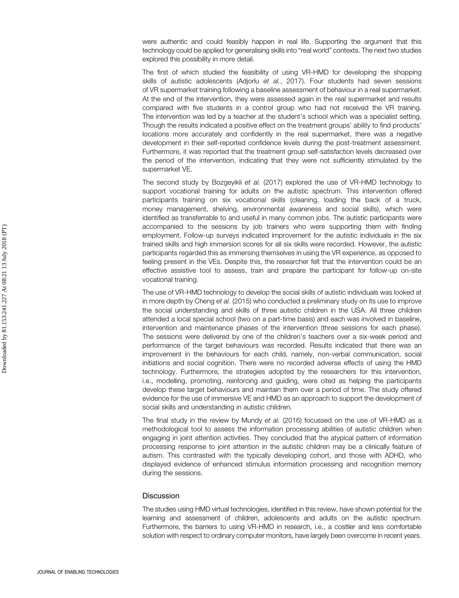were authentic and could feasibly happen in real life. Supporting the argument that this technology could be applied for generalising skills into "real world" contexts. The next two studies explored this possibility in more detail.

The first of which studied the feasibility of using VR-HMD for developing the shopping skills of autistic adolescents (Adjorlu et al., 2017). Four students had seven sessions of VR supermarket training following a baseline assessment of behaviour in a real supermarket. At the end of the intervention, they were assessed again in the real supermarket and results compared with five students in a control group who had not received the VR training. The intervention was led by a teacher at the student's school which was a specialist setting. Though the results indicated a positive effect on the treatment groups' ability to find products' locations more accurately and confidently in the real supermarket, there was a negative development in their self-reported confidence levels during the post-treatment assessment. Furthermore, it was reported that the treatment group self-satisfaction levels decreased over the period of the intervention, indicating that they were not sufficiently stimulated by the supermarket VE.

The second study by Bozgeyikli et al. (2017) explored the use of VR-HMD technology to support vocational training for adults on the autistic spectrum. This intervention offered participants training on six vocational skills (cleaning, loading the back of a truck, money management, shelving, environmental awareness and social skills), which were identified as transferrable to and useful in many common jobs. The autistic participants were accompanied to the sessions by job trainers who were supporting them with finding employment. Follow-up surveys indicated improvement for the autistic individuals in the six trained skills and high immersion scores for all six skills were recorded. However, the autistic participants regarded this as immersing themselves in using the VR experience, as opposed to feeling present in the VEs. Despite this, the researcher felt that the intervention could be an effective assistive tool to assess, train and prepare the participant for follow-up on-site vocational training.

The use of VR-HMD technology to develop the social skills of autistic individuals was looked at in more depth by Cheng et al. (2015) who conducted a preliminary study on its use to improve the social understanding and skills of three autistic children in the USA. All three children attended a local special school (two on a part-time basis) and each was involved in baseline, intervention and maintenance phases of the intervention (three sessions for each phase). The sessions were delivered by one of the children's teachers over a six-week period and performance of the target behaviours was recorded. Results indicated that there was an improvement in the behaviours for each child, namely, non-verbal communication, social initiations and social cognition. There were no recorded adverse effects of using the HMD technology. Furthermore, the strategies adopted by the researchers for this intervention, i.e., modelling, promoting, reinforcing and guiding, were cited as helping the participants develop these target behaviours and maintain them over a period of time. The study offered evidence for the use of immersive VE and HMD as an approach to support the development of social skills and understanding in autistic children.

The final study in the review by Mundy et al. (2016) focussed on the use of VR-HMD as a methodological tool to assess the information processing abilities of autistic children when engaging in joint attention activities. They concluded that the atypical pattern of information processing response to joint attention in the autistic children may be a clinically feature of autism. This contrasted with the typically developing cohort, and those with ADHD, who displayed evidence of enhanced stimulus information processing and recognition memory during the sessions.

#### **Discussion**

The studies using HMD virtual technologies, identified in this review, have shown potential for the learning and assessment of children, adolescents and adults on the autistic spectrum. Furthermore, the barriers to using VR-HMD in research, i.e., a costlier and less comfortable solution with respect to ordinary computer monitors, have largely been overcome in recent years.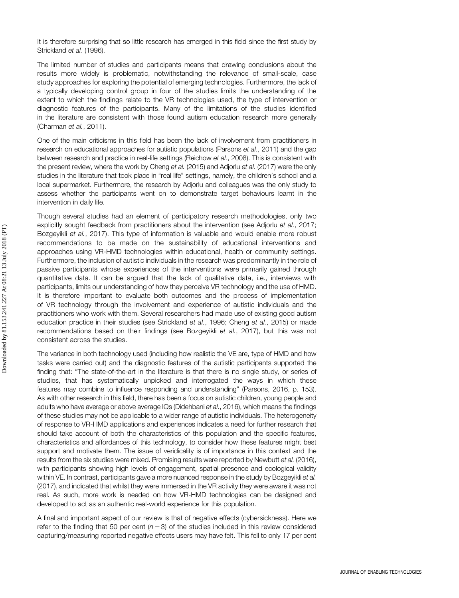It is therefore surprising that so little research has emerged in this field since the first study by Strickland et al. (1996).

The limited number of studies and participants means that drawing conclusions about the results more widely is problematic, notwithstanding the relevance of small-scale, case study approaches for exploring the potential of emerging technologies. Furthermore, the lack of a typically developing control group in four of the studies limits the understanding of the extent to which the findings relate to the VR technologies used, the type of intervention or diagnostic features of the participants. Many of the limitations of the studies identified in the literature are consistent with those found autism education research more generally (Charman et al., 2011).

One of the main criticisms in this field has been the lack of involvement from practitioners in research on educational approaches for autistic populations (Parsons et al., 2011) and the gap between research and practice in real-life settings (Reichow et al., 2008). This is consistent with the present review, where the work by Cheng et al. (2015) and Adjorlu et al. (2017) were the only studies in the literature that took place in "real life" settings, namely, the children's school and a local supermarket. Furthermore, the research by Adjorlu and colleagues was the only study to assess whether the participants went on to demonstrate target behaviours learnt in the intervention in daily life.

Though several studies had an element of participatory research methodologies, only two explicitly sought feedback from practitioners about the intervention (see Adjorlu et al., 2017; Bozgeyikli et al., 2017). This type of information is valuable and would enable more robust recommendations to be made on the sustainability of educational interventions and approaches using VR-HMD technologies within educational, health or community settings. Furthermore, the inclusion of autistic individuals in the research was predominantly in the role of passive participants whose experiences of the interventions were primarily gained through quantitative data. It can be argued that the lack of qualitative data, i.e., interviews with participants, limits our understanding of how they perceive VR technology and the use of HMD. It is therefore important to evaluate both outcomes and the process of implementation of VR technology through the involvement and experience of autistic individuals and the practitioners who work with them. Several researchers had made use of existing good autism education practice in their studies (see Strickland et al., 1996; Cheng et al., 2015) or made recommendations based on their findings (see Bozgeyikli et al., 2017), but this was not consistent across the studies.

The variance in both technology used (including how realistic the VE are, type of HMD and how tasks were carried out) and the diagnostic features of the autistic participants supported the finding that: "The state-of-the-art in the literature is that there is no single study, or series of studies, that has systematically unpicked and interrogated the ways in which these features may combine to influence responding and understanding" (Parsons, 2016, p. 153). As with other research in this field, there has been a focus on autistic children, young people and adults who have average or above average IQs (Didehbani et al., 2016), which means the findings of these studies may not be applicable to a wider range of autistic individuals. The heterogeneity of response to VR-HMD applications and experiences indicates a need for further research that should take account of both the characteristics of this population and the specific features, characteristics and affordances of this technology, to consider how these features might best support and motivate them. The issue of veridicality is of importance in this context and the results from the six studies were mixed. Promising results were reported by Newbutt et al. (2016), with participants showing high levels of engagement, spatial presence and ecological validity within VE. In contrast, participants gave a more nuanced response in the study by Bozgeyikli et al. (2017), and indicated that whilst they were immersed in the VR activity they were aware it was not real. As such, more work is needed on how VR-HMD technologies can be designed and developed to act as an authentic real-world experience for this population.

A final and important aspect of our review is that of negative effects (cybersickness). Here we refer to the finding that 50 per cent  $(n = 3)$  of the studies included in this review considered capturing/measuring reported negative effects users may have felt. This fell to only 17 per cent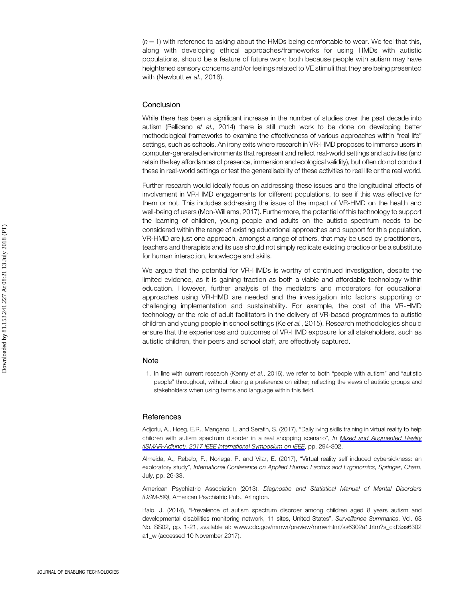$(n = 1)$  with reference to asking about the HMDs being comfortable to wear. We feel that this, along with developing ethical approaches/frameworks for using HMDs with autistic populations, should be a feature of future work; both because people with autism may have heightened sensory concerns and/or feelings related to VE stimuli that they are being presented with (Newbutt et al., 2016).

#### Conclusion

While there has been a significant increase in the number of studies over the past decade into autism (Pellicano et al., 2014) there is still much work to be done on developing better methodological frameworks to examine the effectiveness of various approaches within "real life" settings, such as schools. An irony exits where research in VR-HMD proposes to immerse users in computer-generated environments that represent and reflect real-world settings and activities (and retain the key affordances of presence, immersion and ecological validity), but often do not conduct these in real-world settings or test the generalisability of these activities to real life or the real world.

Further research would ideally focus on addressing these issues and the longitudinal effects of involvement in VR-HMD engagements for different populations, to see if this was effective for them or not. This includes addressing the issue of the impact of VR-HMD on the health and well-being of users (Mon-Williams, 2017). Furthermore, the potential of this technology to support the learning of children, young people and adults on the autistic spectrum needs to be considered within the range of existing educational approaches and support for this population. VR-HMD are just one approach, amongst a range of others, that may be used by practitioners, teachers and therapists and its use should not simply replicate existing practice or be a substitute for human interaction, knowledge and skills.

We argue that the potential for VR-HMDs is worthy of continued investigation, despite the limited evidence, as it is gaining traction as both a viable and affordable technology within education. However, further analysis of the mediators and moderators for educational approaches using VR-HMD are needed and the investigation into factors supporting or challenging implementation and sustainability. For example, the cost of the VR-HMD technology or the role of adult facilitators in the delivery of VR-based programmes to autistic children and young people in school settings (Ke et al., 2015). Research methodologies should ensure that the experiences and outcomes of VR-HMD exposure for all stakeholders, such as autistic children, their peers and school staff, are effectively captured.

#### **Note**

1. In line with current research (Kenny et al., 2016), we refer to both "people with autism" and "autistic people" throughout, without placing a preference on either; reflecting the views of autistic groups and stakeholders when using terms and language within this field.

#### **References**

Adjorlu, A., Høeg, E.R., Mangano, L. and Serafin, S. (2017), "Daily living skills training in virtual reality to help children with autism spectrum disorder in a real shopping scenario", In [Mixed and Augmented Reality](https://www.emeraldinsight.com/action/showLinks?doi=10.1108%2FJET-01-2018-0004&crossref=10.1109%2FISMAR-Adjunct.2017.93&citationId=p_1) [\(ISMAR-Adjunct\), 2017 IEEE International Symposium on IEEE](https://www.emeraldinsight.com/action/showLinks?doi=10.1108%2FJET-01-2018-0004&crossref=10.1109%2FISMAR-Adjunct.2017.93&citationId=p_1), pp. 294-302.

Almeida, A., Rebelo, F., Noriega, P. and Vilar, E. (2017), "Virtual reality self induced cybersickness: an exploratory study", International Conference on Applied Human Factors and Ergonomics, Springer, Cham, July, pp. 26-33.

American Psychiatric Association (2013), Diagnostic and Statistical Manual of Mental Disorders (DSM-5®), American Psychiatric Pub., Arlington.

Baio, J. (2014), "Prevalence of autism spectrum disorder among children aged 8 years autism and developmental disabilities monitoring network, 11 sites, United States", Surveillance Summaries, Vol. 63 No. SS02, pp. 1-21, available at: [www.cdc.gov/mmwr/preview/mmwrhtml/ss6302a1.htm?s\\_cid¼ss6302](www.cdc.gov/mmwr/preview/mmwrhtml/ss6302a1.htm?s_cid¼ss6302a1_w) [a1\\_w](www.cdc.gov/mmwr/preview/mmwrhtml/ss6302a1.htm?s_cid¼ss6302a1_w) (accessed 10 November 2017).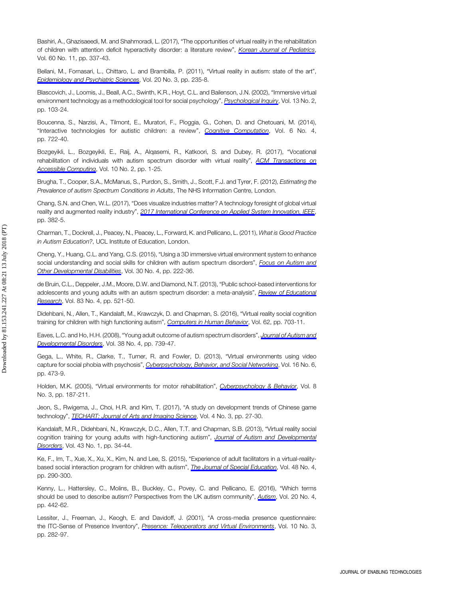Bashiri, A., Ghazisaeedi, M. and Shahmoradi, L. (2017), "The opportunities of virtual reality in the rehabilitation of children with attention deficit hyperactivity disorder: a literature review", [Korean Journal of Pediatrics](https://www.emeraldinsight.com/action/showLinks?doi=10.1108%2FJET-01-2018-0004&crossref=10.3345%2Fkjp.2017.60.11.337&citationId=p_5), Vol. 60 No. 11, pp. 337-43.

Bellani, M., Fornasari, L., Chittaro, L. and Brambilla, P. (2011), "Virtual reality in autism: state of the art", [Epidemiology and Psychiatric Sciences](https://www.emeraldinsight.com/action/showLinks?doi=10.1108%2FJET-01-2018-0004&crossref=10.1017%2FS2045796011000448&citationId=p_6), Vol. 20 No. 3, pp. 235-8.

Blascovich, J., Loomis, J., Beall, A.C., Swinth, K.R., Hoyt, C.L. and Bailenson, J.N. (2002), "Immersive virtual environment technology as a methodological tool for social psychology", [Psychological Inquiry](https://www.emeraldinsight.com/action/showLinks?doi=10.1108%2FJET-01-2018-0004&crossref=10.1207%2FS15327965PLI1302_01&citationId=p_7), Vol. 13 No. 2, pp. 103-24.

Boucenna, S., Narzisi, A., Tilmont, E., Muratori, F., Pioggia, G., Cohen, D. and Chetouani, M. (2014), "Interactive technologies for autistic children: a review", [Cognitive Computation](https://www.emeraldinsight.com/action/showLinks?doi=10.1108%2FJET-01-2018-0004&crossref=10.1007%2Fs12559-014-9276-x&citationId=p_8), Vol. 6 No. 4, pp. 722-40.

Bozgeyikli, L., Bozgeyikli, E., Raij, A., Alqasemi, R., Katkoori, S. and Dubey, R. (2017), "Vocational rehabilitation of individuals with autism spectrum disorder with virtual reality", [ACM Transactions on](https://www.emeraldinsight.com/action/showLinks?doi=10.1108%2FJET-01-2018-0004&crossref=10.1145%2F3046786&citationId=p_9) [Accessible Computing](https://www.emeraldinsight.com/action/showLinks?doi=10.1108%2FJET-01-2018-0004&crossref=10.1145%2F3046786&citationId=p_9), Vol. 10 No. 2, pp. 1-25.

Brugha, T., Cooper, S.A., McManus, S., Purdon, S., Smith, J., Scott, F.J. and Tyrer, F. (2012), Estimating the Prevalence of autism Spectrum Conditions in Adults, The NHS Information Centre, London.

Chang, S.N. and Chen, W.L. (2017), "Does visualize industries matter? A technology foresight of global virtual reality and augmented reality industry", [2017 International Conference on Applied System Innovation, IEEE](https://www.emeraldinsight.com/action/showLinks?doi=10.1108%2FJET-01-2018-0004&crossref=10.1109%2FICASI.2017.7988432&citationId=p_11), pp. 382-5.

Charman, T., Dockrell, J., Peacey, N., Peacey, L., Forward, K. and Pellicano, L. (2011), What is Good Practice in Autism Education?, UCL Institute of Education, London.

Cheng, Y., Huang, C.L. and Yang, C.S. (2015), "Using a 3D immersive virtual environment system to enhance social understanding and social skills for children with autism spectrum disorders", [Focus on Autism and](https://www.emeraldinsight.com/action/showLinks?doi=10.1108%2FJET-01-2018-0004&crossref=10.1177%2F1088357615583473&citationId=p_13) [Other Developmental Disabilities](https://www.emeraldinsight.com/action/showLinks?doi=10.1108%2FJET-01-2018-0004&crossref=10.1177%2F1088357615583473&citationId=p_13), Vol. 30 No. 4, pp. 222-36.

de Bruin, C.L., Deppeler, J.M., Moore, D.W. and Diamond, N.T. (2013), "Public school-based interventions for adolescents and young adults with an autism spectrum disorder: a meta-analysis", [Review of Educational](https://www.emeraldinsight.com/action/showLinks?doi=10.1108%2FJET-01-2018-0004&crossref=10.3102%2F0034654313498621&citationId=p_14) [Research](https://www.emeraldinsight.com/action/showLinks?doi=10.1108%2FJET-01-2018-0004&crossref=10.3102%2F0034654313498621&citationId=p_14), Vol. 83 No. 4, pp. 521-50.

Didehbani, N., Allen, T., Kandalaft, M., Krawczyk, D. and Chapman, S. (2016), "Virtual reality social cognition training for children with high functioning autism", [Computers in Human Behavior](https://www.emeraldinsight.com/action/showLinks?doi=10.1108%2FJET-01-2018-0004&crossref=10.1016%2Fj.chb.2016.04.033&citationId=p_15), Vol. 62, pp. 703-11.

Eaves, L.C. and Ho, H.H. (2008), "Young adult outcome of autism spectrum disorders", [Journal of Autism and](https://www.emeraldinsight.com/action/showLinks?doi=10.1108%2FJET-01-2018-0004&crossref=10.1007%2Fs10803-007-0441-x&citationId=p_16) [Developmental Disorders](https://www.emeraldinsight.com/action/showLinks?doi=10.1108%2FJET-01-2018-0004&crossref=10.1007%2Fs10803-007-0441-x&citationId=p_16), Vol. 38 No. 4, pp. 739-47.

Gega, L., White, R., Clarke, T., Turner, R. and Fowler, D. (2013), "Virtual environments using video capture for social phobia with psychosis", [Cyberpsychology, Behavior, and Social Networking](https://www.emeraldinsight.com/action/showLinks?doi=10.1108%2FJET-01-2018-0004&crossref=10.1089%2Fcyber.2013.1510&citationId=p_17), Vol. 16 No. 6, pp. 473-9.

Holden, M.K. (2005), "Virtual environments for motor rehabilitation", [Cyberpsychology & Behavior](https://www.emeraldinsight.com/action/showLinks?doi=10.1108%2FJET-01-2018-0004&crossref=10.1089%2Fcpb.2005.8.187&citationId=p_18), Vol. 8 No. 3, pp. 187-211.

Jeon, S., Rwigema, J., Choi, H.R. and Kim, T. (2017), "A study on development trends of Chinese game technology", [TECHART: Journal of Arts and Imaging Science](https://www.emeraldinsight.com/action/showLinks?doi=10.1108%2FJET-01-2018-0004&crossref=10.15323%2Ftechart.2017.08.4.3.27&citationId=p_19), Vol. 4 No. 3, pp. 27-30.

Kandalaft, M.R., Didehbani, N., Krawczyk, D.C., Allen, T.T. and Chapman, S.B. (2013), "Virtual reality social cognition training for young adults with high-functioning autism", [Journal of Autism and Developmental](https://www.emeraldinsight.com/action/showLinks?doi=10.1108%2FJET-01-2018-0004&crossref=10.1007%2Fs10803-012-1544-6&citationId=p_20) [Disorders](https://www.emeraldinsight.com/action/showLinks?doi=10.1108%2FJET-01-2018-0004&crossref=10.1007%2Fs10803-012-1544-6&citationId=p_20), Vol. 43 No. 1, pp. 34-44.

Ke, F., Im, T., Xue, X., Xu, X., Kim, N. and Lee, S. (2015), "Experience of adult facilitators in a virtual-realitybased social interaction program for children with autism", *[The Journal of Special Education](https://www.emeraldinsight.com/action/showLinks?doi=10.1108%2FJET-01-2018-0004&crossref=10.1177%2F0022466913498773&citationId=p_21)*, Vol. 48 No. 4, pp. 290-300.

Kenny, L., Hattersley, C., Molins, B., Buckley, C., Povey, C. and Pellicano, E. (2016), "Which terms should be used to describe autism? Perspectives from the UK autism community", [Autism](https://www.emeraldinsight.com/action/showLinks?doi=10.1108%2FJET-01-2018-0004&crossref=10.1177%2F1362361315588200&citationId=p_22), Vol. 20 No. 4, pp. 442-62.

Lessiter, J., Freeman, J., Keogh, E. and Davidoff, J. (2001), "A cross-media presence questionnaire: the ITC-Sense of Presence Inventory", [Presence: Teleoperators and Virtual Environments](https://www.emeraldinsight.com/action/showLinks?doi=10.1108%2FJET-01-2018-0004&crossref=10.1162%2F105474601300343612&citationId=p_23), Vol. 10 No. 3, pp. 282-97.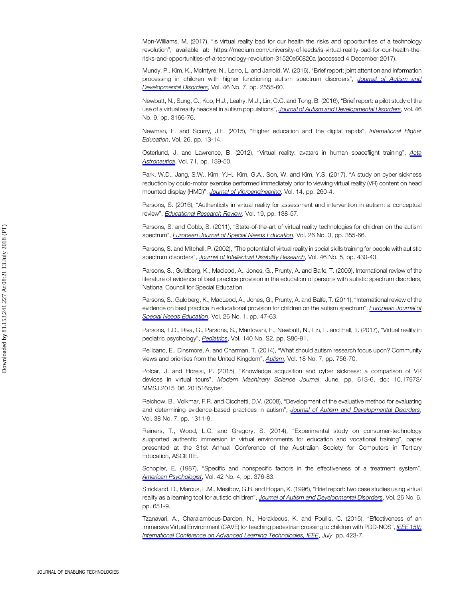Mon-Williams, M. (2017), "Is virtual reality bad for our health the risks and opportunities of a technology revolution", available at: [https://medium.com/university-of-leeds/is-virtual-reality-bad-for-our-health-the](https://medium.com/university-of-leeds/is-virtual-reality-bad-for-our-health-the-risks-and-opportunities-of-a-technology-revolution-31520e50820a)[risks-and-opportunities-of-a-technology-revolution-31520e50820a](https://medium.com/university-of-leeds/is-virtual-reality-bad-for-our-health-the-risks-and-opportunities-of-a-technology-revolution-31520e50820a) (accessed 4 December 2017).

Mundy, P., Kim, K., McIntyre, N., Lerro, L. and Jarrold, W. (2016), "Brief report: joint attention and information processing in children with higher functioning autism spectrum disorders", [Journal of Autism and](https://www.emeraldinsight.com/action/showLinks?doi=10.1108%2FJET-01-2018-0004&crossref=10.1007%2Fs10803-016-2785-6&citationId=p_25) [Developmental Disorders](https://www.emeraldinsight.com/action/showLinks?doi=10.1108%2FJET-01-2018-0004&crossref=10.1007%2Fs10803-016-2785-6&citationId=p_25), Vol. 46 No. 7, pp. 2555-60.

Newbutt, N., Sung, C., Kuo, H.J., Leahy, M.J., Lin, C.C. and Tong, B. (2016), "Brief report: a pilot study of the use of a virtual reality headset in autism populations", [Journal of Autism and Developmental Disorders](https://www.emeraldinsight.com/action/showLinks?doi=10.1108%2FJET-01-2018-0004&crossref=10.1007%2Fs10803-016-2830-5&citationId=p_26), Vol. 46 No. 9, pp. 3166-76.

Newman, F. and Scurry, J.E. (2015), "Higher education and the digital rapids", International Higher Education, Vol. 26, pp. 13-14.

Osterlund, J. and Lawrence, B. (2012), "Virtual reality: avatars in human spaceflight training", [Acta](https://www.emeraldinsight.com/action/showLinks?doi=10.1108%2FJET-01-2018-0004&crossref=10.1016%2Fj.actaastro.2011.08.011&citationId=p_28) [Astronautica](https://www.emeraldinsight.com/action/showLinks?doi=10.1108%2FJET-01-2018-0004&crossref=10.1016%2Fj.actaastro.2011.08.011&citationId=p_28), Vol. 71, pp. 139-50.

Park, W.D., Jang, S.W., Kim, Y.H., Kim, G.A., Son, W. and Kim, Y.S. (2017), "A study on cyber sickness reduction by oculo-motor exercise performed immediately prior to viewing virtual reality (VR) content on head mounted display (HMD)", [Journal of Vibroengineering](https://www.emeraldinsight.com/action/showLinks?doi=10.1108%2FJET-01-2018-0004&crossref=10.21595%2Fvp.2017.19170&citationId=p_29), Vol. 14, pp. 260-4.

Parsons, S. (2016), "Authenticity in virtual reality for assessment and intervention in autism: a conceptual review", **[Educational Research Review](https://www.emeraldinsight.com/action/showLinks?doi=10.1108%2FJET-01-2018-0004&crossref=10.1016%2Fj.edurev.2016.08.001&citationId=p_30)**, Vol. 19, pp. 138-57.

Parsons, S. and Cobb, S. (2011), "State-of-the-art of virtual reality technologies for children on the autism spectrum", [European Journal of Special Needs Education](https://www.emeraldinsight.com/action/showLinks?doi=10.1108%2FJET-01-2018-0004&crossref=10.1080%2F08856257.2011.593831&citationId=p_31), Vol. 26 No. 3, pp. 355-66.

Parsons, S. and Mitchell, P. (2002), "The potential of virtual reality in social skills training for people with autistic spectrum disorders", [Journal of Intellectual Disability Research](https://www.emeraldinsight.com/action/showLinks?doi=10.1108%2FJET-01-2018-0004&crossref=10.1046%2Fj.1365-2788.2002.00425.x&citationId=p_32), Vol. 46 No. 5, pp. 430-43.

Parsons, S., Guldberg, K., Macleod, A., Jones, G., Prunty, A. and Balfe, T. (2009), International review of the literature of evidence of best practice provision in the education of persons with autistic spectrum disorders, National Council for Special Education.

Parsons, S., Guldberg, K., MacLeod, A., Jones, G., Prunty, A. and Balfe, T. (2011), "International review of the evidence on best practice in educational provision for children on the autism spectrum", *[European Journal of](https://www.emeraldinsight.com/action/showLinks?doi=10.1108%2FJET-01-2018-0004&crossref=10.1080%2F08856257.2011.543532&citationId=p_34)* [Special Needs Education](https://www.emeraldinsight.com/action/showLinks?doi=10.1108%2FJET-01-2018-0004&crossref=10.1080%2F08856257.2011.543532&citationId=p_34), Vol. 26 No. 1, pp. 47-63.

Parsons, T.D., Riva, G., Parsons, S., Mantovani, F., Newbutt, N., Lin, L. and Hall, T. (2017), "Virtual reality in pediatric psychology", [Pediatrics](https://www.emeraldinsight.com/action/showLinks?doi=10.1108%2FJET-01-2018-0004&crossref=10.1542%2Fpeds.2016-1758I&citationId=p_35), Vol. 140 No. S2, pp. S86-91.

Pellicano, E., Dinsmore, A. and Charman, T. (2014), "What should autism research focus upon? Community views and priorities from the United Kingdom", [Autism](https://www.emeraldinsight.com/action/showLinks?doi=10.1108%2FJET-01-2018-0004&crossref=10.1177%2F1362361314529627&citationId=p_36), Vol. 18 No. 7, pp. 756-70.

Polcar, J. and Horejsi, P. (2015), "Knowledge acquisition and cyber sickness: a comparison of VR devices in virtual tours", Modern Machinary Science Journal, June, pp. 613-6, doi: 10.17973/ MMSJ.2015\_06\_201516cyber.

Reichow, B., Volkmar, F.R. and Cicchetti, D.V. (2008), "Development of the evaluative method for evaluating and determining evidence-based practices in autism", [Journal of Autism and Developmental Disorders](https://www.emeraldinsight.com/action/showLinks?doi=10.1108%2FJET-01-2018-0004&crossref=10.1007%2Fs10803-007-0517-7&citationId=p_38) Vol. 38 No. 7, pp. 1311-9.

Reiners, T., Wood, L.C. and Gregory, S. (2014), "Experimental study on consumer-technology supported authentic immersion in virtual environments for education and vocational training", paper presented at the 31st Annual Conference of the Australian Society for Computers in Tertiary Education, ASCILITE.

Schopler, E. (1987), "Specific and nonspecific factors in the effectiveness of a treatment system", [American Psychologist](https://www.emeraldinsight.com/action/showLinks?doi=10.1108%2FJET-01-2018-0004&crossref=10.1037%2F0003-066X.42.4.376&citationId=p_40), Vol. 42 No. 4, pp. 376-83.

Strickland, D., Marcus, L.M., Mesibov, G.B. and Hogan, K. (1996), "Brief report: two case studies using virtual reality as a learning tool for autistic children", [Journal of Autism and Developmental Disorders](https://www.emeraldinsight.com/action/showLinks?doi=10.1108%2FJET-01-2018-0004&crossref=10.1007%2FBF02172354&citationId=p_41), Vol. 26 No. 6, pp. 651-9.

Tzanavari, A., Charalambous-Darden, N., Herakleous, K. and Poullis, C. (2015), "Effectiveness of an Immersive Virtual Environment (CAVE) for teaching pedestrian crossing to children with PDD-NOS", [IEEE 15th](https://www.emeraldinsight.com/action/showLinks?doi=10.1108%2FJET-01-2018-0004&crossref=10.1109%2FICALT.2015.85&citationId=p_42) [International Conference on Advanced Learning Technologies, IEEE](https://www.emeraldinsight.com/action/showLinks?doi=10.1108%2FJET-01-2018-0004&crossref=10.1109%2FICALT.2015.85&citationId=p_42), July, pp. 423-7.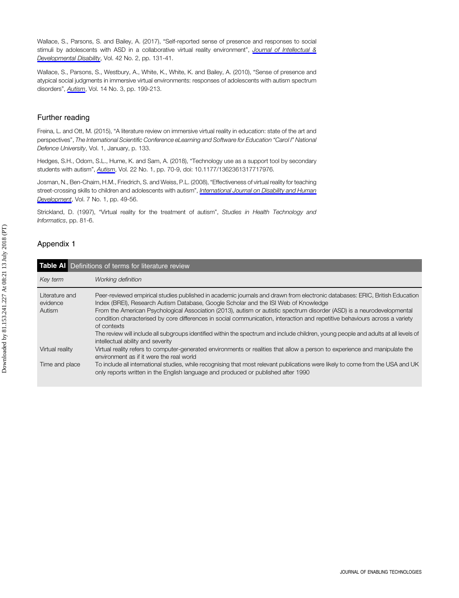Wallace, S., Parsons, S. and Bailey, A. (2017), "Self-reported sense of presence and responses to social stimuli by adolescents with ASD in a collaborative virtual reality environment", [Journal of Intellectual &](https://www.emeraldinsight.com/action/showLinks?doi=10.1108%2FJET-01-2018-0004&crossref=10.3109%2F13668250.2016.1234032&citationId=p_43) [Developmental Disability](https://www.emeraldinsight.com/action/showLinks?doi=10.1108%2FJET-01-2018-0004&crossref=10.3109%2F13668250.2016.1234032&citationId=p_43), Vol. 42 No. 2, pp. 131-41.

Wallace, S., Parsons, S., Westbury, A., White, K., White, K. and Bailey, A. (2010), "Sense of presence and atypical social judgments in immersive virtual environments: responses of adolescents with autism spectrum disorders", *[Autism](https://www.emeraldinsight.com/action/showLinks?doi=10.1108%2FJET-01-2018-0004&crossref=10.1177%2F1362361310363283&citationId=p_44)*, Vol. 14 No. 3, pp. 199-213.

#### Further reading

Freina, L. and Ott, M. (2015), "A literature review on immersive virtual reality in education: state of the art and perspectives", The International Scientific Conference eLearning and Software for Education "Carol I" National Defence University, Vol. 1, January, p. 133.

Hedges, S.H., Odom, S.L., Hume, K. and Sam, A. (2018), "Technology use as a support tool by secondary students with autism", [Autism](https://www.emeraldinsight.com/action/showLinks?doi=10.1108%2FJET-01-2018-0004&crossref=10.1177%2F1362361317717976&citationId=p_46), Vol. 22 No. 1, pp. 70-9, doi: 10.1177/1362361317717976.

Josman, N., Ben-Chaim, H.M., Friedrich, S. and Weiss, P.L. (2008), "Effectiveness of virtual reality for teaching street-crossing skills to children and adolescents with autism", *[International Journal on Disability and Human](https://www.emeraldinsight.com/action/showLinks?doi=10.1108%2FJET-01-2018-0004&crossref=10.1515%2FIJDHD.2008.7.1.49&citationId=p_47)* [Development](https://www.emeraldinsight.com/action/showLinks?doi=10.1108%2FJET-01-2018-0004&crossref=10.1515%2FIJDHD.2008.7.1.49&citationId=p_47), Vol. 7 No. 1, pp. 49-56.

Strickland, D. (1997), "Virtual reality for the treatment of autism", Studies in Health Technology and Informatics, pp. 81-6.

#### Appendix 1

| <b>Table AI</b> Definitions of terms for literature review |                                                                                                                                                                                                                                                                                                                                                                                                                                                                                                                                                                                                                                                                        |  |
|------------------------------------------------------------|------------------------------------------------------------------------------------------------------------------------------------------------------------------------------------------------------------------------------------------------------------------------------------------------------------------------------------------------------------------------------------------------------------------------------------------------------------------------------------------------------------------------------------------------------------------------------------------------------------------------------------------------------------------------|--|
| Key term                                                   | Working definition                                                                                                                                                                                                                                                                                                                                                                                                                                                                                                                                                                                                                                                     |  |
| Literature and<br>evidence<br>Autism                       | Peer-reviewed empirical studies published in academic journals and drawn from electronic databases: ERIC, British Education<br>Index (BREI), Research Autism Database, Google Scholar and the ISI Web of Knowledge<br>From the American Psychological Association (2013), autism or autistic spectrum disorder (ASD) is a neurodevelopmental<br>condition characterised by core differences in social communication, interaction and repetitive behaviours across a variety<br>of contexts<br>The review will include all subgroups identified within the spectrum and include children, young people and adults at all levels of<br>intellectual ability and severity |  |
| Virtual reality                                            | Virtual reality refers to computer-generated environments or realities that allow a person to experience and manipulate the<br>environment as if it were the real world                                                                                                                                                                                                                                                                                                                                                                                                                                                                                                |  |
| Time and place                                             | To include all international studies, while recognising that most relevant publications were likely to come from the USA and UK<br>only reports written in the English language and produced or published after 1990                                                                                                                                                                                                                                                                                                                                                                                                                                                   |  |